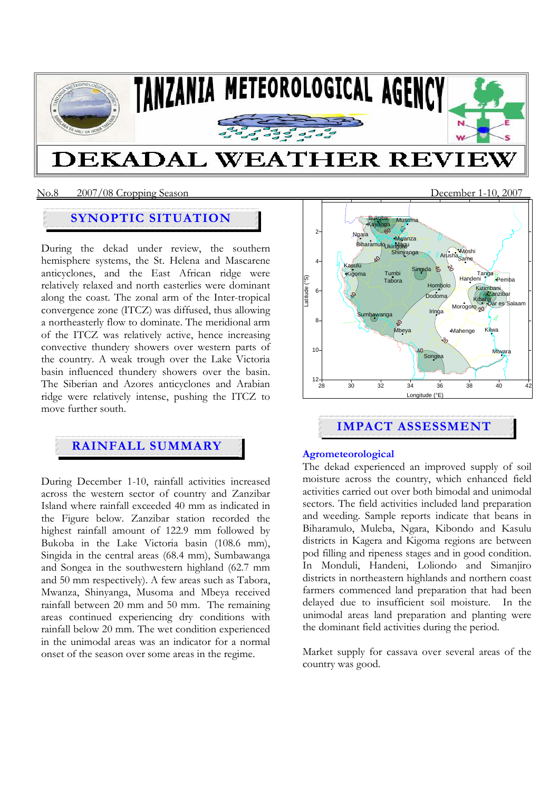

# **DEKADAL WEATHER REVII**

# **SYNOPTIC SITUATION**

During the dekad under review, the southern hemisphere systems, the St. Helena and Mascarene anticyclones, and the East African ridge were relatively relaxed and north easterlies were dominant along the coast. The zonal arm of the Inter-tropical convergence zone (ITCZ) was diffused, thus allowing a northeasterly flow to dominate. The meridional arm of the ITCZ was relatively active, hence increasing convective thundery showers over western parts of the country. A weak trough over the Lake Victoria basin influenced thundery showers over the basin. The Siberian and Azores anticyclones and Arabian ridge were relatively intense, pushing the ITCZ to move further south.

# **RAINFALL SUMMARY**

During December 1-10, rainfall activities increased across the western sector of country and Zanzibar Island where rainfall exceeded 40 mm as indicated in the Figure below. Zanzibar station recorded the highest rainfall amount of 122.9 mm followed by Bukoba in the Lake Victoria basin (108.6 mm), Singida in the central areas (68.4 mm), Sumbawanga and Songea in the southwestern highland (62.7 mm and 50 mm respectively). A few areas such as Tabora, Mwanza, Shinyanga, Musoma and Mbeya received rainfall between 20 mm and 50 mm. The remaining areas continued experiencing dry conditions with rainfall below 20 mm. The wet condition experienced in the unimodal areas was an indicator for a normal onset of the season over some areas in the regime.



# **IMPACT ASSESSMENT**

### **Agrometeorological**

The dekad experienced an improved supply of soil moisture across the country, which enhanced field activities carried out over both bimodal and unimodal sectors. The field activities included land preparation and weeding. Sample reports indicate that beans in Biharamulo, Muleba, Ngara, Kibondo and Kasulu districts in Kagera and Kigoma regions are between pod filling and ripeness stages and in good condition. In Monduli, Handeni, Loliondo and Simanjiro districts in northeastern highlands and northern coast farmers commenced land preparation that had been delayed due to insufficient soil moisture. In the unimodal areas land preparation and planting were the dominant field activities during the period.

Market supply for cassava over several areas of the country was good.